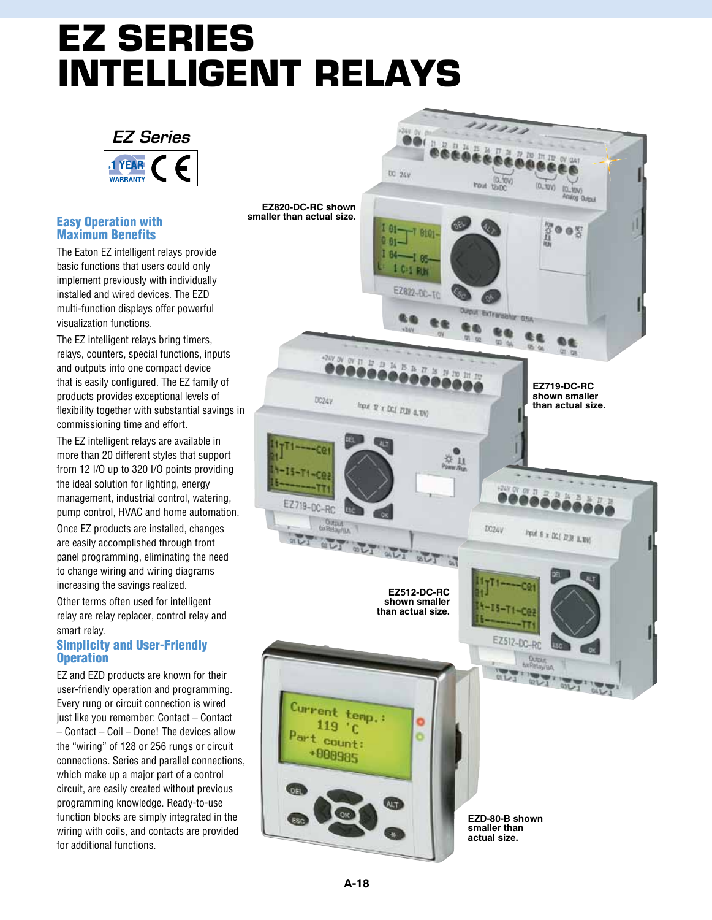# **EZ Series Intelligent Relays**



#### Easy Operation with Maximum Benefits

The Eaton EZ intelligent relays provide basic functions that users could only implement previously with individually installed and wired devices. The EZD multi-function displays offer powerful visualization functions.

The EZ intelligent relays bring timers, relays, counters, special functions, inputs and outputs into one compact device that is easily configured. The EZ family of products provides exceptional levels of flexibility together with substantial savings in commissioning time and effort.

The EZ intelligent relays are available in more than 20 different styles that support from 12 I/O up to 320 I/O points providing the ideal solution for lighting, energy management, industrial control, watering, pump control, HVAC and home automation.

Once EZ products are installed, changes are easily accomplished through front panel programming, eliminating the need to change wiring and wiring diagrams increasing the savings realized.

Other terms often used for intelligent relay are relay replacer, control relay and smart relay.

#### Simplicity and User-Friendly **Operation**

EZ and EZD products are known for their user-friendly operation and programming. Every rung or circuit connection is wired just like you remember: Contact – Contact – Contact – Coil – Done! The devices allow the "wiring" of 128 or 256 rungs or circuit connections. Series and parallel connections, which make up a major part of a control circuit, are easily created without previous programming knowledge. Ready-to-use function blocks are simply integrated in the wiring with coils, and contacts are provided for additional functions.

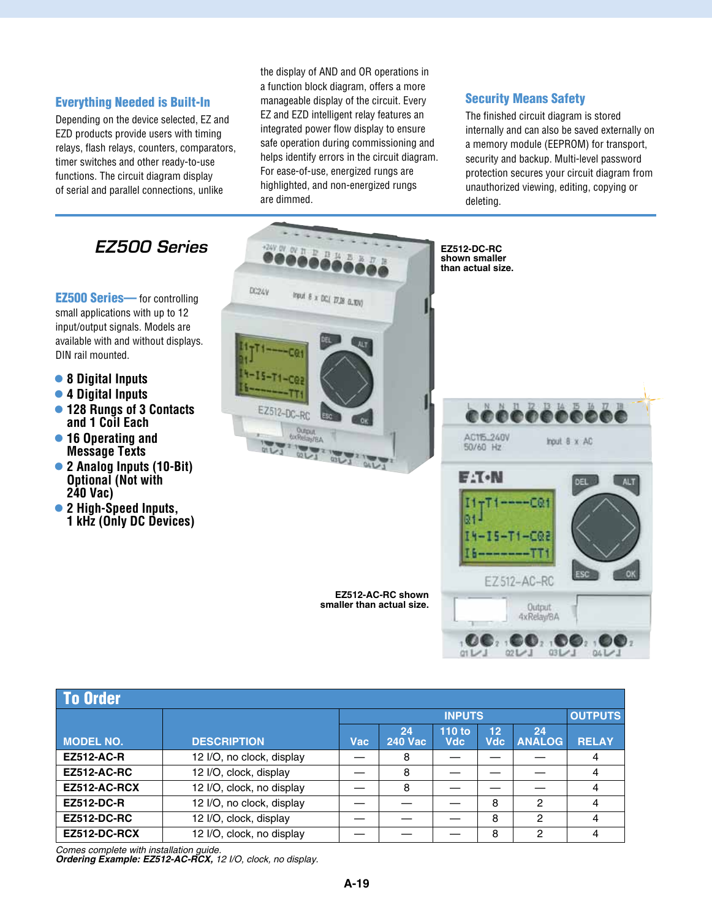#### Everything Needed is Built-In

Depending on the device selected, EZ and EZD products provide users with timing relays, flash relays, counters, comparators, timer switches and other ready-to-use functions. The circuit diagram display of serial and parallel connections, unlike

the display of AND and OR operations in a function block diagram, offers a more manageable display of the circuit. Every EZ and EZD intelligent relay features an integrated power flow display to ensure safe operation during commissioning and helps identify errors in the circuit diagram. For ease-of-use, energized rungs are highlighted, and non-energized rungs are dimmed.

#### Security Means Safety

The finished circuit diagram is stored internally and can also be saved externally on a memory module (EEPROM) for transport, security and backup. Multi-level password protection secures your circuit diagram from unauthorized viewing, editing, copying or deleting.



| <b>To Order</b>    |                           |               |                      |                      |                        |                     |                |
|--------------------|---------------------------|---------------|----------------------|----------------------|------------------------|---------------------|----------------|
|                    |                           | <b>INPUTS</b> |                      |                      |                        |                     | <b>OUTPUTS</b> |
| <b>MODEL NO.</b>   | <b>DESCRIPTION</b>        | Vac           | 24<br><b>240 Vac</b> | 110 to<br><b>Vdc</b> | 12 <sup>°</sup><br>Vdc | 24<br><b>ANALOG</b> | <b>RELAY</b>   |
| <b>EZ512-AC-R</b>  | 12 I/O, no clock, display |               | 8                    |                      |                        |                     | 4              |
| <b>EZ512-AC-RC</b> | 12 I/O, clock, display    |               | 8                    |                      |                        |                     | 4              |
| EZ512-AC-RCX       | 12 I/O, clock, no display |               | 8                    |                      |                        |                     | 4              |
| <b>EZ512-DC-R</b>  | 12 I/O, no clock, display |               |                      |                      | 8                      | 2                   | 4              |
| <b>EZ512-DC-RC</b> | 12 I/O, clock, display    |               |                      |                      | 8                      | 2                   | 4              |
| EZ512-DC-RCX       | 12 I/O, clock, no display |               |                      |                      | 8                      | $\mathcal{P}$       | 4              |

*Comes complete with installation guide.*

*Ordering Example: EZ512-AC-RCX, 12 I/O, clock, no display.*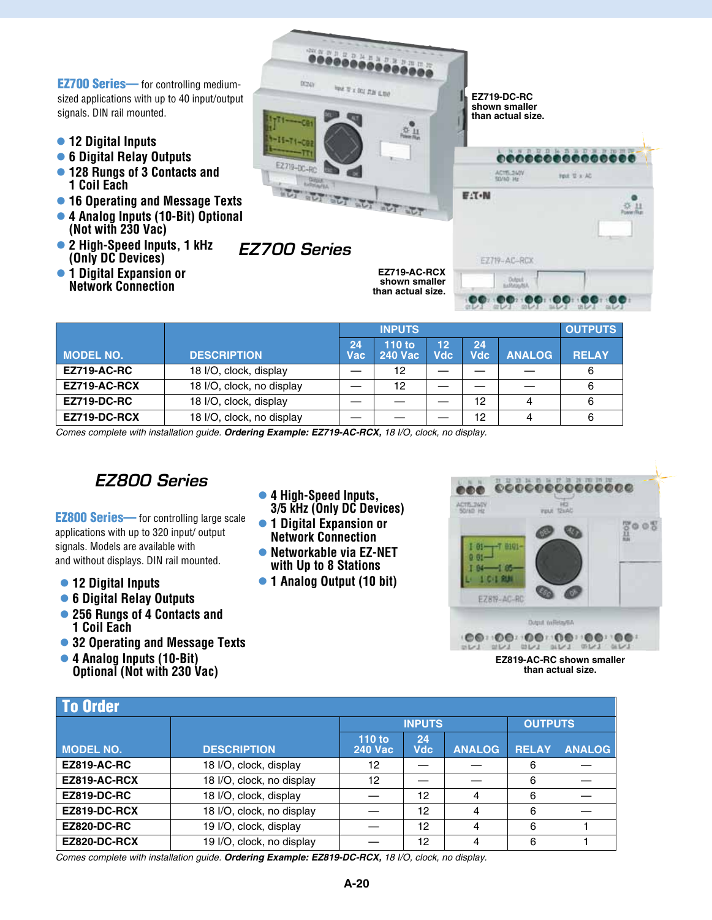EZ700 Series— for controlling mediumsized applications with up to 40 input/output signals. DIN rail mounted.

- l **12 Digital Inputs**
- l **6 Digital Relay Outputs**
- l **128 Rungs of 3 Contacts and 1 Coil Each**
- l **16 Operating and Message Texts**
- l **4 Analog Inputs (10-Bit) Optional (Not with 230 Vac)**
- 2 High-Speed Inputs, 1 kHz **(Only DC Devices)**
- **•1 Digital Expansion or Network Connection**



|                    |                           |            | <b>INPUTS</b>            |                  |                  |               | <b>OUTPUTS</b> |
|--------------------|---------------------------|------------|--------------------------|------------------|------------------|---------------|----------------|
| <b>MODEL NO.</b>   | <b>DESCRIPTION</b>        | 24<br>Vac' | 110 to<br><b>240 Vac</b> | 12<br><b>Vdc</b> | 24<br><b>Vdc</b> | <b>ANALOG</b> | <b>RELAY</b>   |
| <b>EZ719-AC-RC</b> | 18 I/O, clock, display    |            | 12                       |                  |                  |               | 6              |
| EZ719-AC-RCX       | 18 I/O, clock, no display |            | 12                       |                  |                  |               | 6              |
| <b>EZ719-DC-RC</b> | 18 I/O, clock, display    |            |                          |                  | 12               | 4             | 6              |
| EZ719-DC-RCX       | 18 I/O, clock, no display |            |                          |                  | 12               | 4             | 6              |

*Comes complete with installation guide. Ordering Example: EZ719-AC-RCX, 18 I/O, clock, no display.*

### *EZ800 Series*

**EZ800 Series**— for controlling large scale applications with up to 320 input/ output signals. Models are available with and without displays. DIN rail mounted.

- l **12 Digital Inputs**
- l **6 Digital Relay Outputs**
- l **256 Rungs of 4 Contacts and 1 Coil Each**
- **32 Operating and Message Texts**
- l **4 Analog Inputs (10-Bit) Optional (Not with 230 Vac)**
- **4 High-Speed Inputs. 3/5 kHz (Only DC Devices)**
- **•1 Digital Expansion or Network Connection**
- **Networkable via EZ-NET with Up to 8 Stations**
- l **1 Analog Output (10 bit)**



**EZ819-AC-RC shown smaller than actual size.**

| <b>To Order</b>    |                           |                          |                  |               |                |               |  |
|--------------------|---------------------------|--------------------------|------------------|---------------|----------------|---------------|--|
|                    |                           | <b>INPUTS</b>            |                  |               | <b>OUTPUTS</b> |               |  |
| <b>MODEL NO.</b>   | <b>DESCRIPTION</b>        | 110 to<br><b>240 Vac</b> | 24<br><b>Vdc</b> | <b>ANALOG</b> | <b>RELAY</b>   | <b>ANALOG</b> |  |
| <b>EZ819-AC-RC</b> | 18 I/O, clock, display    | 12                       |                  |               | 6              |               |  |
| EZ819-AC-RCX       | 18 I/O, clock, no display | 12                       |                  |               | 6              |               |  |
| <b>EZ819-DC-RC</b> | 18 I/O, clock, display    |                          | 12               | 4             | 6              |               |  |
| EZ819-DC-RCX       | 18 I/O, clock, no display |                          | 12               | 4             | 6              |               |  |
| <b>EZ820-DC-RC</b> | 19 I/O, clock, display    |                          | 12               | 4             | 6              |               |  |
| EZ820-DC-RCX       | 19 I/O, clock, no display |                          | 12               | 4             | 6              |               |  |

*Comes complete with installation guide. Ordering Example: EZ819-DC-RCX, 18 I/O, clock, no display.*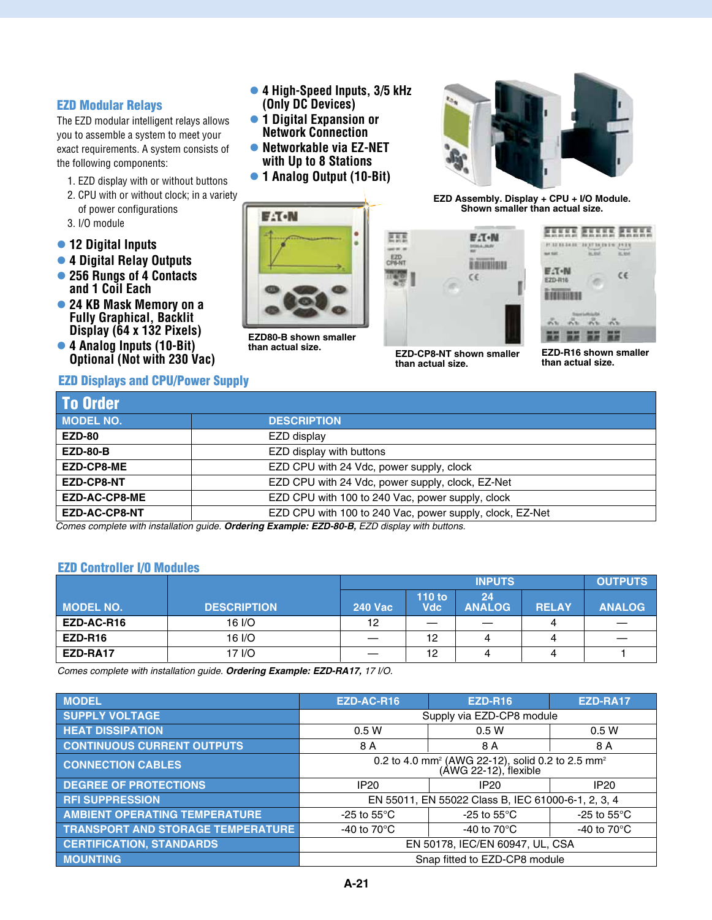#### EZD Modular Relays

The EZD modular intelligent relays allows you to assemble a system to meet your exact requirements. A system consists of the following components:

- 1. EZD display with or without buttons
- 2. CPU with or without clock; in a variety of power configurations
- 3. I/O module
- l **12 Digital Inputs**
- l **4 Digital Relay Outputs**
- l **256 Rungs of 4 Contacts and 1 Coil Each**
- l **24 KB Mask Memory on a Fully Graphical, Backlit Display (64 x 132 Pixels)**
- l **4 Analog Inputs (10-Bit) Optional (Not with 230 Vac)**

#### EZD Displays and CPU/Power Supply

- **4 High-Speed Inputs, 3/5 kHz (Only DC Devices)**
- **1 Digital Expansion or Network Connection**
- **Networkable via EZ-NET with Up to 8 Stations**
- l **1 Analog Output (10-Bit)**



**EZD80-B shown smaller** 



**EZD Assembly. Display + CPU + I/O Module. Shown smaller than actual size.**



医形態

**than actual size.**



**than actual size. EZD-R16 shown smaller EZD-CP8-NT shown smaller than actual size.**

| <b>To Order</b>      |                                                          |
|----------------------|----------------------------------------------------------|
| <b>MODEL NO.</b>     | <b>DESCRIPTION</b>                                       |
| <b>EZD-80</b>        | EZD display                                              |
| <b>EZD-80-B</b>      | EZD display with buttons                                 |
| <b>EZD-CP8-ME</b>    | EZD CPU with 24 Vdc, power supply, clock                 |
| EZD-CP8-NT           | EZD CPU with 24 Vdc, power supply, clock, EZ-Net         |
| <b>EZD-AC-CP8-ME</b> | EZD CPU with 100 to 240 Vac, power supply, clock         |
| <b>EZD-AC-CP8-NT</b> | EZD CPU with 100 to 240 Vac, power supply, clock, EZ-Net |

*Comes complete with installation guide. Ordering Example: EZD-80-B, EZD display with buttons.*

#### EZD Controller I/0 Modules

|                  |                    |                | <b>OUTPUTS</b>       |                     |              |               |
|------------------|--------------------|----------------|----------------------|---------------------|--------------|---------------|
| <b>MODEL NO.</b> | <b>DESCRIPTION</b> | <b>240 Vac</b> | 110 to<br><b>Vdc</b> | 24<br><b>ANALOG</b> | <b>RELAY</b> | <b>ANALOG</b> |
| EZD-AC-R16       | 16 I/O             | 12             | _                    |                     |              | _             |
| EZD-R16          | 16 I/O             |                | 12                   |                     |              |               |
| EZD-RA17         | 17 I/O             |                | 12                   |                     |              |               |

*Comes complete with installation guide. Ordering Example: EZD-RA17, 17 I/O.*

| <b>MODEL</b>                             | EZD-AC-R16                                                                                        | <b>EZD-R16</b>                                     | EZD-RA17              |  |  |
|------------------------------------------|---------------------------------------------------------------------------------------------------|----------------------------------------------------|-----------------------|--|--|
| <b>SUPPLY VOLTAGE</b>                    | Supply via EZD-CP8 module                                                                         |                                                    |                       |  |  |
| <b>HEAT DISSIPATION</b>                  | 0.5W                                                                                              | 0.5W                                               | 0.5W                  |  |  |
| <b>CONTINUOUS CURRENT OUTPUTS</b>        | 8 A                                                                                               | 8 A                                                | 8 A                   |  |  |
| <b>CONNECTION CABLES</b>                 | 0.2 to 4.0 mm <sup>2</sup> (AWG 22-12), solid 0.2 to 2.5 mm <sup>2</sup><br>(AWG 22-12), flexible |                                                    |                       |  |  |
| <b>DEGREE OF PROTECTIONS</b>             | <b>IP20</b>                                                                                       | <b>IP20</b>                                        | <b>IP20</b>           |  |  |
| <b>RFI SUPPRESSION</b>                   |                                                                                                   | EN 55011, EN 55022 Class B, IEC 61000-6-1, 2, 3, 4 |                       |  |  |
| <b>AMBIENT OPERATING TEMPERATURE</b>     | -25 to 55 $\mathrm{^{\circ}C}$                                                                    | -25 to $55^{\circ}$ C                              | -25 to $55^{\circ}$ C |  |  |
| <b>TRANSPORT AND STORAGE TEMPERATURE</b> | -40 to $70^{\circ}$ C                                                                             | -40 to $70^{\circ}$ C                              | -40 to $70^{\circ}$ C |  |  |
| <b>CERTIFICATION, STANDARDS</b>          | EN 50178, IEC/EN 60947, UL, CSA                                                                   |                                                    |                       |  |  |
| <b>MOUNTING</b>                          |                                                                                                   | Snap fitted to EZD-CP8 module                      |                       |  |  |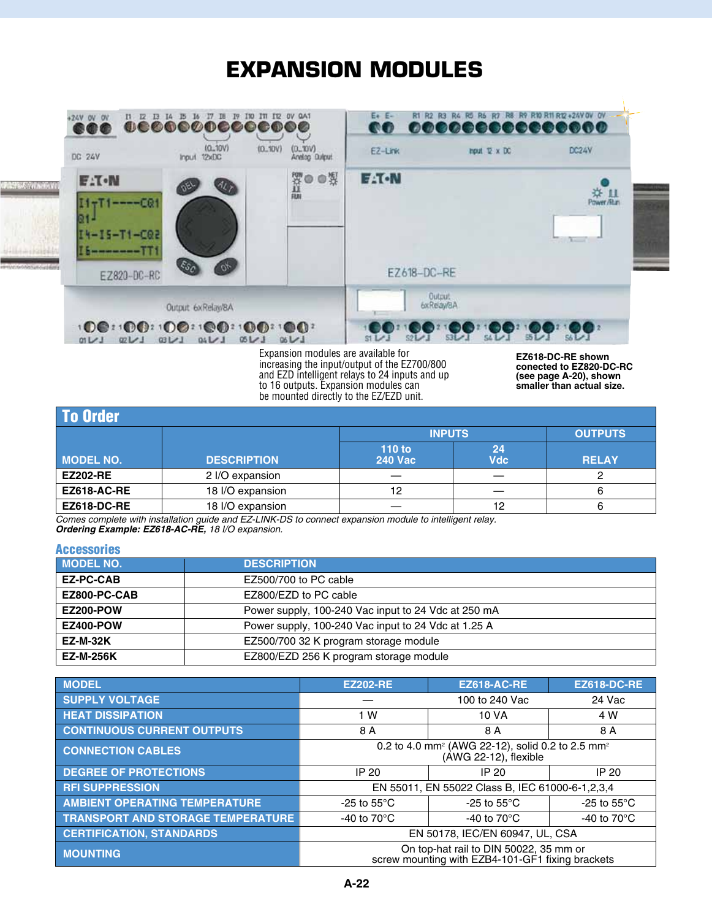## **Expansion Modules**



to 16 outputs. Expansion modules can be mounted directly to the EZ/EZD unit. **(see page A-20), shown smaller than actual size.**

| To Order           |                    |                          |                  |              |  |  |  |
|--------------------|--------------------|--------------------------|------------------|--------------|--|--|--|
|                    |                    | <b>INPUTS</b>            | <b>OUTPUTS</b>   |              |  |  |  |
| <b>MODEL NO.</b>   | <b>DESCRIPTION</b> | 110 to<br><b>240 Vac</b> | 24<br><b>Vdc</b> | <b>RELAY</b> |  |  |  |
| <b>EZ202-RE</b>    | 2 I/O expansion    |                          |                  |              |  |  |  |
| EZ618-AC-RE        | 18 I/O expansion   | 12                       |                  | 6            |  |  |  |
| <b>EZ618-DC-RE</b> | 18 I/O expansion   |                          | 12               | 6            |  |  |  |

*Comes complete with installation guide and EZ-LINK-DS to connect expansion module to intelligent relay. Ordering Example: EZ618-AC-RE, 18 I/O expansion.*

#### **Accessories**

| <b>MODEL NO.</b> | <b>DESCRIPTION</b>                                  |
|------------------|-----------------------------------------------------|
| <b>EZ-PC-CAB</b> | EZ500/700 to PC cable                               |
| EZ800-PC-CAB     | EZ800/EZD to PC cable                               |
| <b>EZ200-POW</b> | Power supply, 100-240 Vac input to 24 Vdc at 250 mA |
| <b>EZ400-POW</b> | Power supply, 100-240 Vac input to 24 Vdc at 1.25 A |
| <b>EZ-M-32K</b>  | EZ500/700 32 K program storage module               |
| <b>EZ-M-256K</b> | EZ800/EZD 256 K program storage module              |

| <b>MODEL</b>                             | <b>EZ202-RE</b>                                                                                   | <b>EZ618-AC-RE</b>                                                                         | <b>EZ618-DC-RE</b>    |  |  |
|------------------------------------------|---------------------------------------------------------------------------------------------------|--------------------------------------------------------------------------------------------|-----------------------|--|--|
| <b>SUPPLY VOLTAGE</b>                    |                                                                                                   | 100 to 240 Vac                                                                             | 24 Vac                |  |  |
| <b>HEAT DISSIPATION</b>                  | 1 W                                                                                               | 10 VA                                                                                      | 4 W                   |  |  |
| <b>CONTINUOUS CURRENT OUTPUTS</b>        | 8 A                                                                                               | 8 A                                                                                        | 8 A                   |  |  |
| <b>CONNECTION CABLES</b>                 | 0.2 to 4.0 mm <sup>2</sup> (AWG 22-12), solid 0.2 to 2.5 mm <sup>2</sup><br>(AWG 22-12), flexible |                                                                                            |                       |  |  |
| <b>DEGREE OF PROTECTIONS</b>             | IP 20                                                                                             | IP 20                                                                                      | IP 20                 |  |  |
| <b>RFI SUPPRESSION</b>                   |                                                                                                   | EN 55011, EN 55022 Class B, IEC 61000-6-1, 2, 3, 4                                         |                       |  |  |
| <b>AMBIENT OPERATING TEMPERATURE</b>     | -25 to $55^{\circ}$ C                                                                             | -25 to $55^{\circ}$ C                                                                      | -25 to $55^{\circ}$ C |  |  |
| <b>TRANSPORT AND STORAGE TEMPERATURE</b> | -40 to $70^{\circ}$ C                                                                             | -40 to $70^{\circ}$ C                                                                      | -40 to $70^{\circ}$ C |  |  |
| <b>CERTIFICATION, STANDARDS</b>          | EN 50178, IEC/EN 60947, UL, CSA                                                                   |                                                                                            |                       |  |  |
| <b>MOUNTING</b>                          |                                                                                                   | On top-hat rail to DIN 50022, 35 mm or<br>screw mounting with EZB4-101-GF1 fixing brackets |                       |  |  |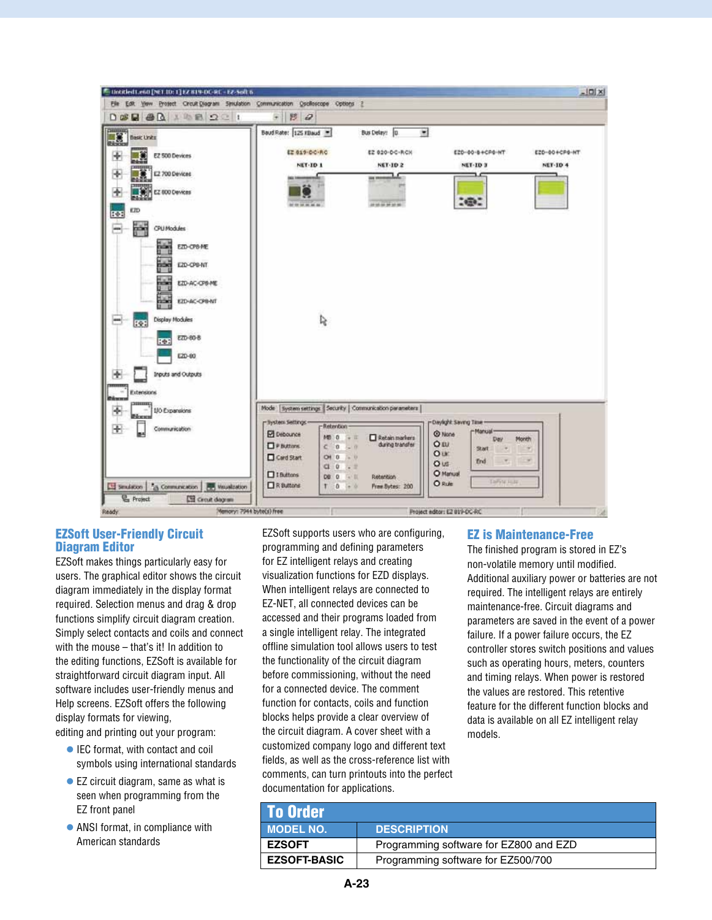| 5 Institutions [NET ID: 1] EZ 819-DC-RC - EZ-Soft 6<br>Elle Edit Verw Protect Circuit Diagram Smulation Communication Oscilloscope Options 2 |                                                                                                                                                      |                                                                                                                                                                                               |                                                                                                                                                      | $-10x$                           |
|----------------------------------------------------------------------------------------------------------------------------------------------|------------------------------------------------------------------------------------------------------------------------------------------------------|-----------------------------------------------------------------------------------------------------------------------------------------------------------------------------------------------|------------------------------------------------------------------------------------------------------------------------------------------------------|----------------------------------|
| $D$ $B$ $B$ $A$ $B$ $D$ $C$ $I$                                                                                                              | $+ 89$                                                                                                                                               |                                                                                                                                                                                               |                                                                                                                                                      |                                  |
| <b>NEW Basic Units</b><br>EZ 500 Devices<br>EZ 700 Devices<br>EZ 600 Devices<br>¢                                                            | Baud Rate: 125 Kbaud<br>EZ 019-DC-RC<br>NET-ID 1<br>by the latt on and Ala                                                                           | $\bullet$<br>Bus Delay: 0.<br>E2 020-DC-RCH<br><b>NET-ID 2</b><br>or monarchie<br>AN 100 000 000 000                                                                                          | E20-00-84CP0-NT<br><b>NET-ID 3</b><br>160.                                                                                                           | E20-80+CP6-NT<br><b>NET-ID 4</b> |
| ky<br>E<br>EZD<br>Ë<br><b>CPU Modules</b><br>EZD-CPS-ME<br>EZD-CPB-NT<br>Ħ<br>EZD-AC-CPB-ME<br>hãn<br>EZD-AC-OR-NT                           |                                                                                                                                                      |                                                                                                                                                                                               |                                                                                                                                                      |                                  |
| Display Modules<br>ROB<br>EZD-80-B<br><b>Real</b><br>E20-00<br>Inputs and Outputs<br><b>Extensions</b>                                       | Ś,                                                                                                                                                   |                                                                                                                                                                                               |                                                                                                                                                      |                                  |
| 1/0 Expansions<br>÷<br>Communication<br>Eld Smulation   23 Communication   89 Visualization<br><b>C</b> Project<br><b>ES Crout day an</b>    | r llystem Settings -<br>Retention<br>P Debounce<br>P Buttons.<br>c <sub>0</sub><br>Gard Start<br>Of 0<br>$C1$ 0<br>$10$ Buttons<br>DB 0<br>R Buttons | Mode   System settings   Security   Communication parameters  <br>MB 0 + II<br>Retain markers<br>during transfer<br>$-0$<br>2400<br>$-2$<br>(4) 图<br>Retention<br>Prem Bytes: 200<br>$10 - 0$ | -Daylight Saving Time -<br>-Manual-<br>@ None<br>Day<br>OEU<br><b>Start</b><br>Our<br>End<br>Ous<br>O Manual<br><b>TaPyte Hills</b><br><b>O</b> Rule | Month<br>$\sim$                  |

#### EZSoft User-Friendly Circuit Diagram Editor

EZSoft makes things particularly easy for users. The graphical editor shows the circuit diagram immediately in the display format required. Selection menus and drag & drop functions simplify circuit diagram creation. Simply select contacts and coils and connect with the mouse – that's it! In addition to the editing functions, EZSoft is available for straightforward circuit diagram input. All software includes user-friendly menus and Help screens. EZSoft offers the following display formats for viewing,

editing and printing out your program:

- IEC format, with contact and coil symbols using international standards
- $\bullet$  EZ circuit diagram, same as what is seen when programming from the EZ front panel
- $\bullet$  ANSI format, in compliance with American standards

EZSoft supports users who are configuring, programming and defining parameters for EZ intelligent relays and creating visualization functions for EZD displays. When intelligent relays are connected to EZ-NET, all connected devices can be accessed and their programs loaded from a single intelligent relay. The integrated offline simulation tool allows users to test the functionality of the circuit diagram before commissioning, without the need for a connected device. The comment function for contacts, coils and function blocks helps provide a clear overview of the circuit diagram. A cover sheet with a customized company logo and different text fields, as well as the cross-reference list with comments, can turn printouts into the perfect documentation for applications.

#### EZ is Maintenance-Free

The finished program is stored in EZ's non-volatile memory until modified. Additional auxiliary power or batteries are not required. The intelligent relays are entirely maintenance-free. Circuit diagrams and parameters are saved in the event of a power failure. If a power failure occurs, the EZ controller stores switch positions and values such as operating hours, meters, counters and timing relays. When power is restored the values are restored. This retentive feature for the different function blocks and data is available on all EZ intelligent relay models.

| l To Order          |                                        |
|---------------------|----------------------------------------|
| <b>MODEL NO.</b>    | <b>DESCRIPTION</b>                     |
| <b>EZSOFT</b>       | Programming software for EZ800 and EZD |
| <b>EZSOFT-BASIC</b> | Programming software for EZ500/700     |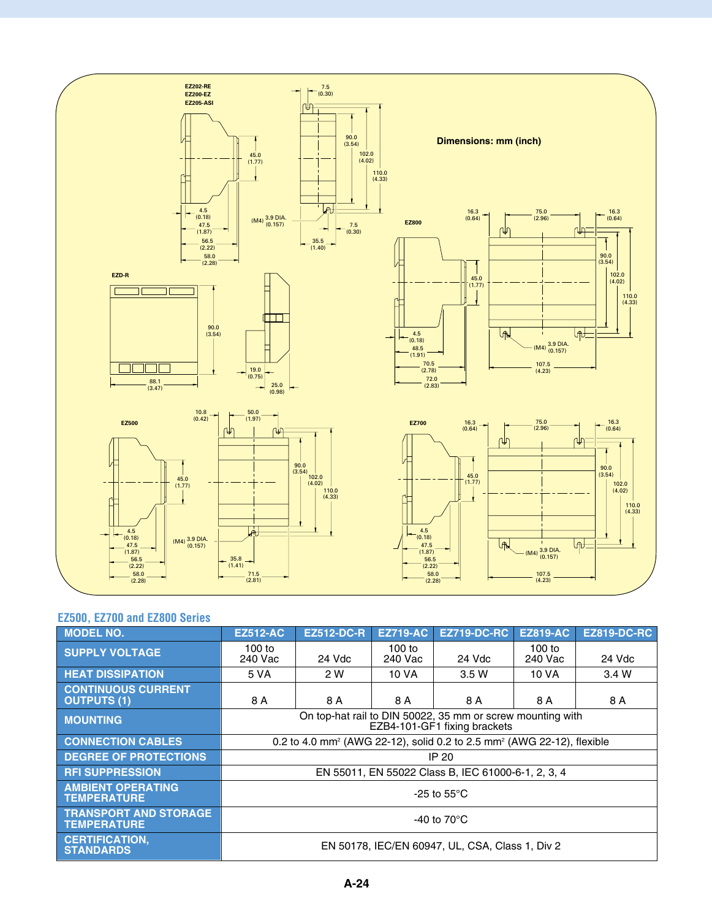

#### **EZ500, EZ700 and EZ800 Series**

| <b>MODEL NO.</b>                                   | <b>EZ512-AC</b>                                                                            | <b>EZ512-DC-R</b> | <b>EZ719-AC</b>     | <b>EZ719-DC-RC</b>                                                                             | <b>EZ819-AC</b>   | <b>EZ819-DC-RC</b> |
|----------------------------------------------------|--------------------------------------------------------------------------------------------|-------------------|---------------------|------------------------------------------------------------------------------------------------|-------------------|--------------------|
| <b>SUPPLY VOLTAGE</b>                              | $100$ to<br>240 Vac                                                                        | 24 Vdc            | $100$ to<br>240 Vac | 24 Vdc                                                                                         | 100 to<br>240 Vac | 24 Vdc             |
| <b>HEAT DISSIPATION</b>                            | 5 VA                                                                                       | 2 W               | 10 VA               | 3.5 W                                                                                          | 10 VA             | 3.4 W              |
| <b>CONTINUOUS CURRENT</b><br><b>OUTPUTS (1)</b>    | 8 A                                                                                        | 8 A               | 8 A                 | 8 A                                                                                            | 8 A               | 8 A                |
| <b>MOUNTING</b>                                    | On top-hat rail to DIN 50022, 35 mm or screw mounting with<br>EZB4-101-GF1 fixing brackets |                   |                     |                                                                                                |                   |                    |
| <b>CONNECTION CABLES</b>                           |                                                                                            |                   |                     | 0.2 to 4.0 mm <sup>2</sup> (AWG 22-12), solid 0.2 to 2.5 mm <sup>2</sup> (AWG 22-12), flexible |                   |                    |
| <b>DEGREE OF PROTECTIONS</b>                       |                                                                                            |                   |                     | IP 20                                                                                          |                   |                    |
| <b>RFI SUPPRESSION</b>                             |                                                                                            |                   |                     | EN 55011, EN 55022 Class B, IEC 61000-6-1, 2, 3, 4                                             |                   |                    |
| <b>AMBIENT OPERATING</b><br><b>TEMPERATURE</b>     | -25 to $55^{\circ}$ C                                                                      |                   |                     |                                                                                                |                   |                    |
| <b>TRANSPORT AND STORAGE</b><br><b>TEMPERATURE</b> | -40 to $70^{\circ}$ C                                                                      |                   |                     |                                                                                                |                   |                    |
| <b>CERTIFICATION.</b><br><b>STANDARDS</b>          |                                                                                            |                   |                     | EN 50178. IEC/EN 60947. UL. CSA. Class 1. Div 2                                                |                   |                    |